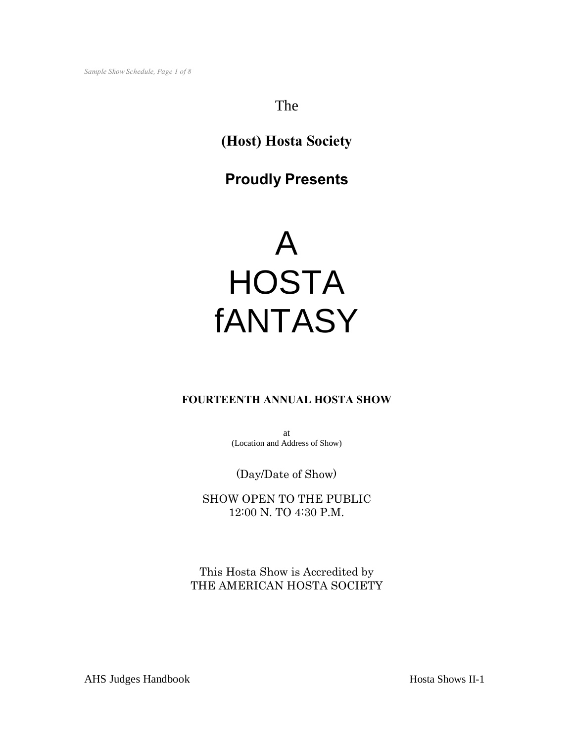# The

# **(Host) Hosta Society**

# **Proudly Presents**

# A **HOSTA** fANTASY

# **FOURTEENTH ANNUAL HOSTA SHOW**

at (Location and Address of Show)

(Day/Date of Show)

SHOW OPEN TO THE PUBLIC 12:00 N. TO 4:30 P.M.

This Hosta Show is Accredited by THE AMERICAN HOSTA SOCIETY

AHS Judges Handbook Hosta Shows II-1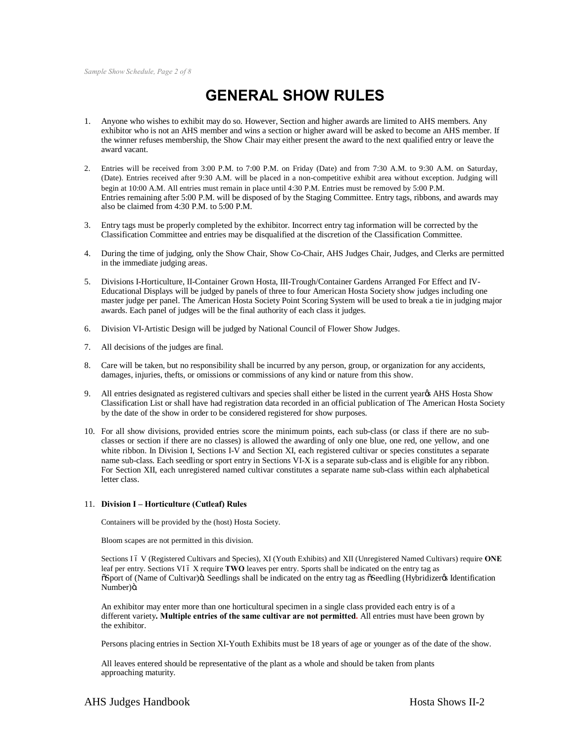# **GENERAL SHOW RULES**

- 1. Anyone who wishes to exhibit may do so. However, Section and higher awards are limited to AHS members. Any exhibitor who is not an AHS member and wins a section or higher award will be asked to become an AHS member. If the winner refuses membership, the Show Chair may either present the award to the next qualified entry or leave the award vacant.
- 2. Entries will be received from 3:00 P.M. to 7:00 P.M. on Friday (Date) and from 7:30 A.M. to 9:30 A.M. on Saturday, (Date). Entries received after 9:30 A.M. will be placed in a non-competitive exhibit area without exception. Judging will begin at 10:00 A.M. All entries must remain in place until 4:30 P.M. Entries must be removed by 5:00 P.M. Entries remaining after 5:00 P.M. will be disposed of by the Staging Committee. Entry tags, ribbons, and awards may also be claimed from 4:30 P.M. to 5:00 P.M.
- 3. Entry tags must be properly completed by the exhibitor. Incorrect entry tag information will be corrected by the Classification Committee and entries may be disqualified at the discretion of the Classification Committee.
- 4. During the time of judging, only the Show Chair, Show Co-Chair, AHS Judges Chair, Judges, and Clerks are permitted in the immediate judging areas.
- 5. Divisions I-Horticulture, II-Container Grown Hosta, III-Trough/Container Gardens Arranged For Effect and IV-Educational Displays will be judged by panels of three to four American Hosta Society show judges including one master judge per panel. The American Hosta Society Point Scoring System will be used to break a tie in judging major awards. Each panel of judges will be the final authority of each class it judges.
- 6. Division VI-Artistic Design will be judged by National Council of Flower Show Judges.
- 7. All decisions of the judges are final.
- 8. Care will be taken, but no responsibility shall be incurred by any person, group, or organization for any accidents, damages, injuries, thefts, or omissions or commissions of any kind or nature from this show.
- 9. All entries designated as registered cultivars and species shall either be listed in the current yearors AHS Hosta Show Classification List or shall have had registration data recorded in an official publication of The American Hosta Society by the date of the show in order to be considered registered for show purposes.
- 10. For all show divisions, provided entries score the minimum points, each sub-class (or class if there are no subclasses or section if there are no classes) is allowed the awarding of only one blue, one red, one yellow, and one white ribbon. In Division I, Sections I-V and Section XI, each registered cultivar or species constitutes a separate name sub-class. Each seedling or sport entry in Sections VI-X is a separate sub-class and is eligible for any ribbon. For Section XII, each unregistered named cultivar constitutes a separate name sub-class within each alphabetical letter class.

#### 11. **Division I – Horticulture (Cutleaf) Rules**

Containers will be provided by the (host) Hosta Society.

Bloom scapes are not permitted in this division.

Sections I 6 V (Registered Cultivars and Species), XI (Youth Exhibits) and XII (Unregistered Named Cultivars) require ONE leaf per entry. Sections VI 6 X require TWO leaves per entry. Sports shall be indicated on the entry tag as  $\delta$ Sport of (Name of Cultivar) $\delta$ . Seedlings shall be indicated on the entry tag as  $\delta$ Seedling (Hybridizer $\delta$ s Identification Number)ö.

An exhibitor may enter more than one horticultural specimen in a single class provided each entry is of a different variety**. Multiple entries of the same cultivar are not permitted.** All entries must have been grown by the exhibitor.

Persons placing entries in Section XI-Youth Exhibits must be 18 years of age or younger as of the date of the show.

All leaves entered should be representative of the plant as a whole and should be taken from plants approaching maturity.

#### AHS Judges Handbook **Hosta Shows II-2 Hosta Shows II-2**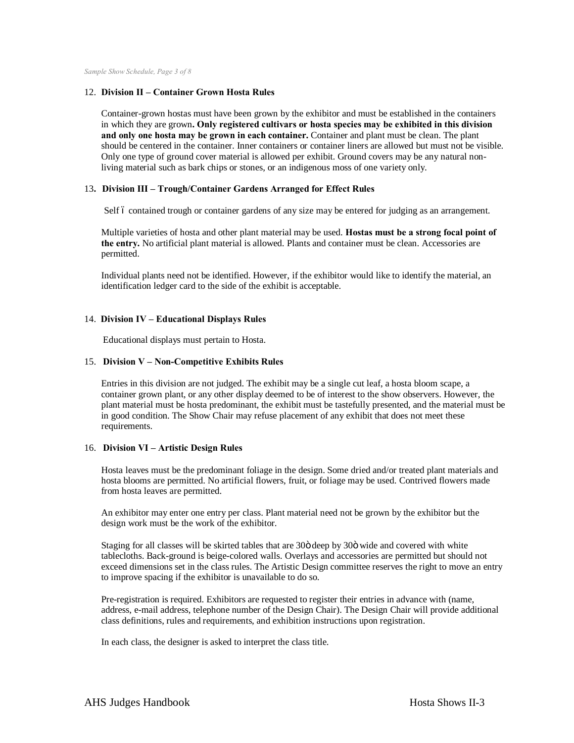*Sample Show Schedule, Page 3 of 8*

#### 12. **Division II – Container Grown Hosta Rules**

Container-grown hostas must have been grown by the exhibitor and must be established in the containers in which they are grown**. Only registered cultivars or hosta species may be exhibited in this division and only one hosta may be grown in each container.** Container and plant must be clean. The plant should be centered in the container. Inner containers or container liners are allowed but must not be visible. Only one type of ground cover material is allowed per exhibit. Ground covers may be any natural nonliving material such as bark chips or stones, or an indigenous moss of one variety only.

#### 13**. Division III – Trough/Container Gardens Arranged for Effect Rules**

Self 6 contained trough or container gardens of any size may be entered for judging as an arrangement.

Multiple varieties of hosta and other plant material may be used. **Hostas must be a strong focal point of the entry.** No artificial plant material is allowed. Plants and container must be clean. Accessories are permitted.

Individual plants need not be identified. However, if the exhibitor would like to identify the material, an identification ledger card to the side of the exhibit is acceptable.

#### 14. **Division IV – Educational Displays Rules**

Educational displays must pertain to Hosta.

#### 15. **Division V – Non-Competitive Exhibits Rules**

Entries in this division are not judged. The exhibit may be a single cut leaf, a hosta bloom scape, a container grown plant, or any other display deemed to be of interest to the show observers. However, the plant material must be hosta predominant, the exhibit must be tastefully presented, and the material must be in good condition. The Show Chair may refuse placement of any exhibit that does not meet these requirements.

#### 16. **Division VI – Artistic Design Rules**

Hosta leaves must be the predominant foliage in the design. Some dried and/or treated plant materials and hosta blooms are permitted. No artificial flowers, fruit, or foliage may be used. Contrived flowers made from hosta leaves are permitted.

An exhibitor may enter one entry per class. Plant material need not be grown by the exhibitor but the design work must be the work of the exhibitor.

Staging for all classes will be skirted tables that are 30ö deep by 30ö wide and covered with white tablecloths. Back-ground is beige-colored walls. Overlays and accessories are permitted but should not exceed dimensions set in the class rules. The Artistic Design committee reserves the right to move an entry to improve spacing if the exhibitor is unavailable to do so.

Pre-registration is required. Exhibitors are requested to register their entries in advance with (name, address, e-mail address, telephone number of the Design Chair). The Design Chair will provide additional class definitions, rules and requirements, and exhibition instructions upon registration.

In each class, the designer is asked to interpret the class title.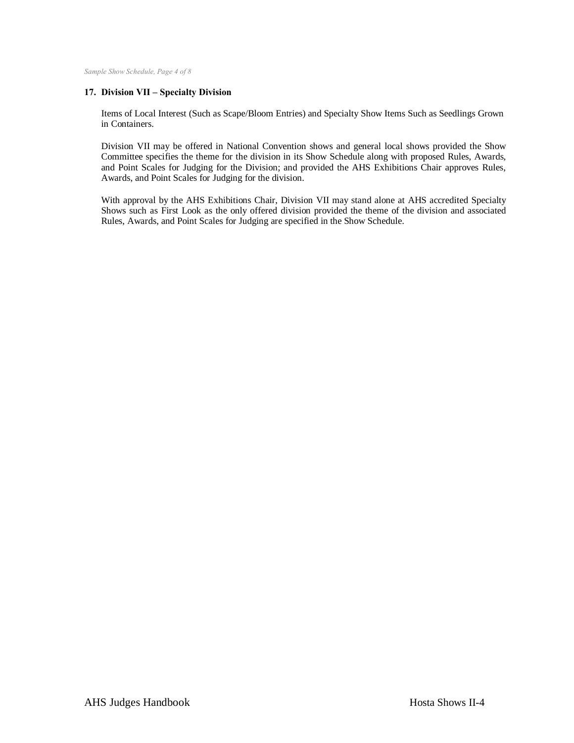*Sample Show Schedule, Page 4 of 8*

#### **17. Division VII – Specialty Division**

Items of Local Interest (Such as Scape/Bloom Entries) and Specialty Show Items Such as Seedlings Grown in Containers.

Division VII may be offered in National Convention shows and general local shows provided the Show Committee specifies the theme for the division in its Show Schedule along with proposed Rules, Awards, and Point Scales for Judging for the Division; and provided the AHS Exhibitions Chair approves Rules, Awards, and Point Scales for Judging for the division.

With approval by the AHS Exhibitions Chair, Division VII may stand alone at AHS accredited Specialty Shows such as First Look as the only offered division provided the theme of the division and associated Rules, Awards, and Point Scales for Judging are specified in the Show Schedule.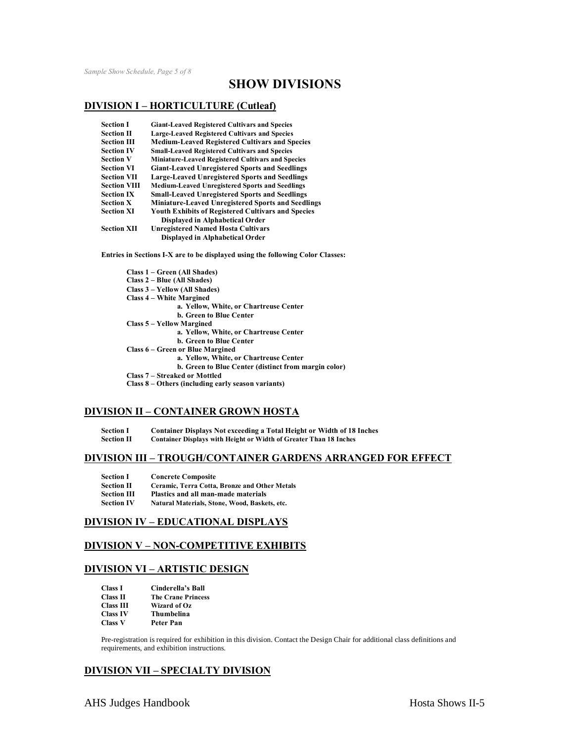# **SHOW DIVISIONS**

#### **DIVISION I – HORTICULTURE (Cutleaf)**

| <b>Section I</b>    | <b>Giant-Leaved Registered Cultivars and Species</b>      |
|---------------------|-----------------------------------------------------------|
| <b>Section II</b>   | <b>Large-Leaved Registered Cultivars and Species</b>      |
| <b>Section III</b>  | <b>Medium-Leaved Registered Cultivars and Species</b>     |
| <b>Section IV</b>   | <b>Small-Leaved Registered Cultivars and Species</b>      |
| <b>Section V</b>    | Miniature-Leaved Registered Cultivars and Species         |
| <b>Section VI</b>   | <b>Giant-Leaved Unregistered Sports and Seedlings</b>     |
| <b>Section VII</b>  | <b>Large-Leaved Unregistered Sports and Seedlings</b>     |
| <b>Section VIII</b> | <b>Medium-Leaved Unregistered Sports and Seedlings</b>    |
| <b>Section IX</b>   | <b>Small-Leaved Unregistered Sports and Seedlings</b>     |
| <b>Section X</b>    | <b>Miniature-Leaved Unregistered Sports and Seedlings</b> |
| <b>Section XI</b>   | <b>Youth Exhibits of Registered Cultivars and Species</b> |
|                     | Displayed in Alphabetical Order                           |
| <b>Section XII</b>  | <b>Unregistered Named Hosta Cultivars</b>                 |
|                     | Displayed in Alphabetical Order                           |

**Entries in Sections I-X are to be displayed using the following Color Classes:**

| Class 1 – Green (All Shades)                         |
|------------------------------------------------------|
| Class 2 – Blue (All Shades)                          |
| Class 3 – Yellow (All Shades)                        |
| <b>Class 4 – White Margined</b>                      |
| a. Yellow, White, or Chartreuse Center               |
| <b>b. Green to Blue Center</b>                       |
| <b>Class 5 – Yellow Margined</b>                     |
| a. Yellow, White, or Chartreuse Center               |
| <b>b. Green to Blue Center</b>                       |
| Class 6 – Green or Blue Margined                     |
| a. Yellow, White, or Chartreuse Center               |
| b. Green to Blue Center (distinct from margin color) |
| Class 7 – Streaked or Mottled                        |
| Class 8 – Others (including early season variants)   |

#### **DIVISION II – CONTAINER GROWN HOSTA**

**Section I Container Displays Not exceeding a Total Height or Width of 18 Inches**

**Section II Container Displays with Height or Width of Greater Than 18 Inches**

#### **DIVISION III – TROUGH/CONTAINER GARDENS ARRANGED FOR EFFECT**

| <b>Section I</b>   | <b>Concrete Composite</b>                     |
|--------------------|-----------------------------------------------|
| <b>Section II</b>  | Ceramic, Terra Cotta, Bronze and Other Metals |
| <b>Section III</b> | Plastics and all man-made materials           |
| <b>Section IV</b>  | Natural Materials, Stone, Wood, Baskets, etc. |

#### **DIVISION IV – EDUCATIONAL DISPLAYS**

#### **DIVISION V – NON-COMPETITIVE EXHIBITS**

#### **DIVISION VI – ARTISTIC DESIGN**

| <b>Class I</b>   | Cinderella's Ball         |
|------------------|---------------------------|
| <b>Class II</b>  | <b>The Crane Princess</b> |
| <b>Class III</b> | Wizard of Oz              |
| <b>Class IV</b>  | Thumbelina                |
| <b>Class V</b>   | Peter Pan                 |

Pre-registration is required for exhibition in this division. Contact the Design Chair for additional class definitions and requirements, and exhibition instructions.

### **DIVISION VII – SPECIALTY DIVISION**

AHS Judges Handbook Hosta Shows II-5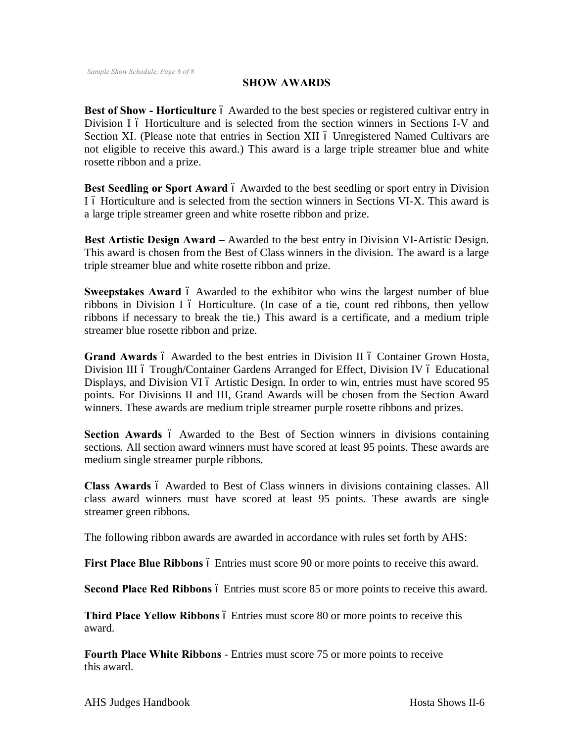## **SHOW AWARDS**

**Best of Show - Horticulture** 6 Awarded to the best species or registered cultivar entry in Division I 6 Horticulture and is selected from the section winners in Sections I-V and Section XI. (Please note that entries in Section XII 6 Unregistered Named Cultivars are not eligible to receive this award.) This award is a large triple streamer blue and white rosette ribbon and a prize.

**Best Seedling or Sport Award** 6 Awarded to the best seedling or sport entry in Division I 6 Horticulture and is selected from the section winners in Sections VI-X. This award is a large triple streamer green and white rosette ribbon and prize.

**Best Artistic Design Award –** Awarded to the best entry in Division VI-Artistic Design. This award is chosen from the Best of Class winners in the division. The award is a large triple streamer blue and white rosette ribbon and prize.

**Sweepstakes Award** 6 Awarded to the exhibitor who wins the largest number of blue ribbons in Division I ó Horticulture. (In case of a tie, count red ribbons, then yellow ribbons if necessary to break the tie.) This award is a certificate, and a medium triple streamer blue rosette ribbon and prize.

**Grand Awards** 6 Awarded to the best entries in Division II 6 Container Grown Hosta, Division III 6 Trough/Container Gardens Arranged for Effect, Division IV 6 Educational Displays, and Division VI 6 Artistic Design. In order to win, entries must have scored 95 points. For Divisions II and III, Grand Awards will be chosen from the Section Award winners. These awards are medium triple streamer purple rosette ribbons and prizes.

**Section Awards** 6 Awarded to the Best of Section winners in divisions containing sections. All section award winners must have scored at least 95 points. These awards are medium single streamer purple ribbons.

**Class Awards**  $\acute{o}$  Awarded to Best of Class winners in divisions containing classes. All class award winners must have scored at least 95 points. These awards are single streamer green ribbons.

The following ribbon awards are awarded in accordance with rules set forth by AHS:

**First Place Blue Ribbons**  $\acute{o}$  Entries must score 90 or more points to receive this award.

**Second Place Red Ribbons**  $\acute{o}$  Entries must score 85 or more points to receive this award.

**Third Place Yellow Ribbons**  $\acute{o}$  Entries must score 80 or more points to receive this award.

**Fourth Place White Ribbons** - Entries must score 75 or more points to receive this award.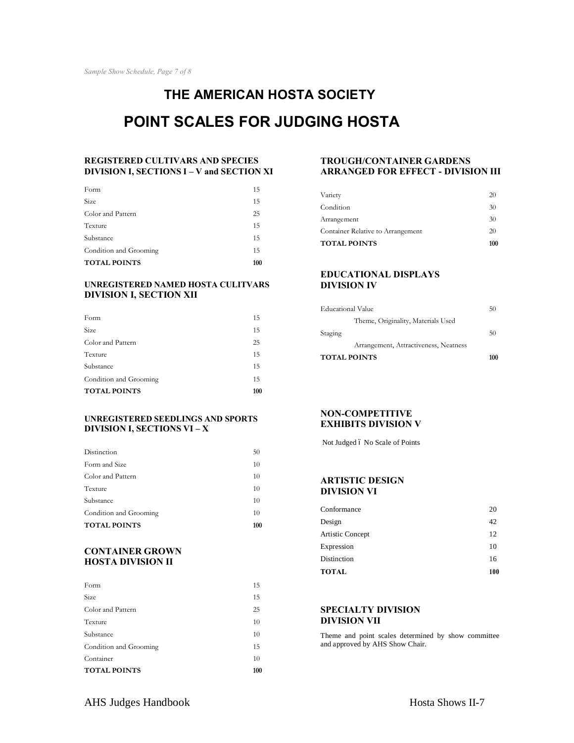# **THE AMERICAN HOSTA SOCIETY POINT SCALES FOR JUDGING HOSTA**

#### **REGISTERED CULTIVARS AND SPECIES DIVISION I, SECTIONS I – V and SECTION XI**

| <b>TOTAL POINTS</b>    | 100 |
|------------------------|-----|
| Condition and Grooming | 15  |
| Substance              | 15  |
| Texture                | 15  |
| Color and Pattern      | 25  |
| Size                   | 15  |
| Form                   | 15  |

#### **UNREGISTERED NAMED HOSTA CULITVARS DIVISION I, SECTION XII**

| <b>TOTAL POINTS</b>    | 100 |
|------------------------|-----|
| Condition and Grooming | 15  |
| Substance              | 15  |
| Texture                | 15  |
| Color and Pattern      | 25  |
| Size                   | 15  |
| Form                   | 15  |

#### **UNREGISTERED SEEDLINGS AND SPORTS DIVISION I, SECTIONS VI – X**

| <b>TOTAL POINTS</b>    | 100 |
|------------------------|-----|
| Condition and Grooming | 10  |
| Substance              | 10  |
| Texture                | 10  |
| Color and Pattern      | 10  |
| Form and Size          | 10  |
| Distinction            | 50  |

#### **CONTAINER GROWN HOSTA DIVISION II**

| <b>TOTAL POINTS</b>    | 100 |
|------------------------|-----|
| Container              | 10  |
| Condition and Grooming | 15  |
| Substance              | 10  |
| Texture                | 10  |
| Color and Pattern      | 25  |
| Size                   | 15  |
| Form                   | 15  |
|                        |     |

#### **TROUGH/CONTAINER GARDENS ARRANGED FOR EFFECT - DIVISION III**

| <b>TOTAL POINTS</b>               | 100 |
|-----------------------------------|-----|
| Container Relative to Arrangement | 20  |
| Arrangement                       | 30  |
| Condition                         | 30  |
| Variety                           | 20  |

#### **EDUCATIONAL DISPLAYS DIVISION IV**

| <b>TOTAL POINTS</b>                   | 100 |
|---------------------------------------|-----|
| Arrangement, Attractiveness, Neatness |     |
| Staging                               | 50  |
| Theme, Originality, Materials Used    |     |
| <b>Educational Value</b>              | 50  |
|                                       |     |

#### **NON-COMPETITIVE EXHIBITS DIVISION V**

Not Judged 6 No Scale of Points

#### **ARTISTIC DESIGN DIVISION VI**

| 20  |
|-----|
| 42  |
| 12  |
| 10  |
| 16  |
| 100 |
|     |

#### **SPECIALTY DIVISION DIVISION VII**

Theme and point scales determined by show committee and approved by AHS Show Chair.